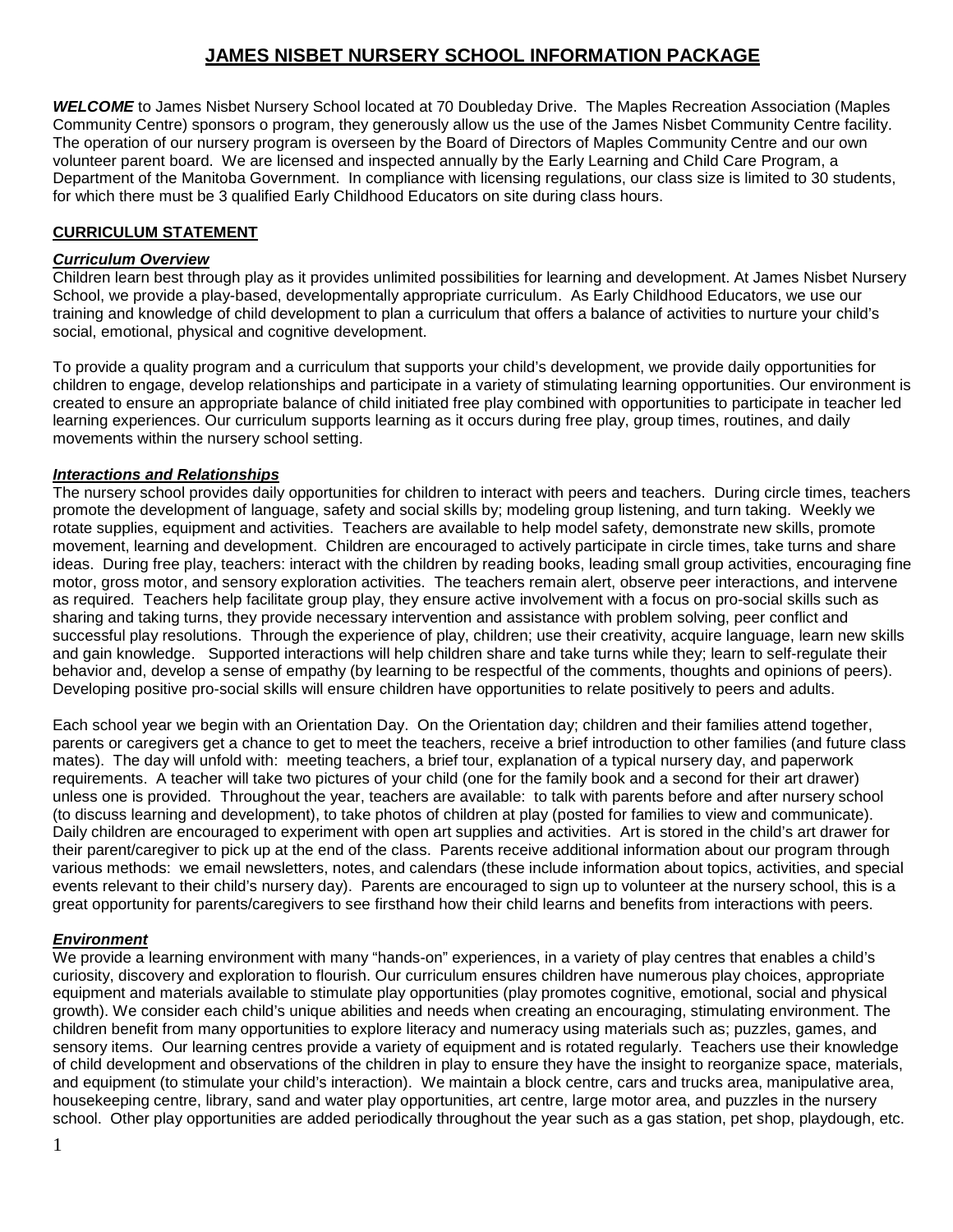# **JAMES NISBET NURSERY SCHOOL INFORMATION PACKAGE**

*WELCOME* to James Nisbet Nursery School located at 70 Doubleday Drive. The Maples Recreation Association (Maples Community Centre) sponsors o program, they generously allow us the use of the James Nisbet Community Centre facility. The operation of our nursery program is overseen by the Board of Directors of Maples Community Centre and our own volunteer parent board. We are licensed and inspected annually by the Early Learning and Child Care Program, a Department of the Manitoba Government. In compliance with licensing regulations, our class size is limited to 30 students, for which there must be 3 qualified Early Childhood Educators on site during class hours.

## **CURRICULUM STATEMENT**

### *Curriculum Overview*

Children learn best through play as it provides unlimited possibilities for learning and development. At James Nisbet Nursery School, we provide a play-based, developmentally appropriate curriculum. As Early Childhood Educators, we use our training and knowledge of child development to plan a curriculum that offers a balance of activities to nurture your child's social, emotional, physical and cognitive development.

To provide a quality program and a curriculum that supports your child's development, we provide daily opportunities for children to engage, develop relationships and participate in a variety of stimulating learning opportunities. Our environment is created to ensure an appropriate balance of child initiated free play combined with opportunities to participate in teacher led learning experiences. Our curriculum supports learning as it occurs during free play, group times, routines, and daily movements within the nursery school setting.

### *Interactions and Relationships*

The nursery school provides daily opportunities for children to interact with peers and teachers. During circle times, teachers promote the development of language, safety and social skills by; modeling group listening, and turn taking. Weekly we rotate supplies, equipment and activities. Teachers are available to help model safety, demonstrate new skills, promote movement, learning and development. Children are encouraged to actively participate in circle times, take turns and share ideas. During free play, teachers: interact with the children by reading books, leading small group activities, encouraging fine motor, gross motor, and sensory exploration activities. The teachers remain alert, observe peer interactions, and intervene as required. Teachers help facilitate group play, they ensure active involvement with a focus on pro-social skills such as sharing and taking turns, they provide necessary intervention and assistance with problem solving, peer conflict and successful play resolutions. Through the experience of play, children; use their creativity, acquire language, learn new skills and gain knowledge. Supported interactions will help children share and take turns while they; learn to self-regulate their behavior and, develop a sense of empathy (by learning to be respectful of the comments, thoughts and opinions of peers). Developing positive pro-social skills will ensure children have opportunities to relate positively to peers and adults.

Each school year we begin with an Orientation Day. On the Orientation day; children and their families attend together, parents or caregivers get a chance to get to meet the teachers, receive a brief introduction to other families (and future class mates). The day will unfold with: meeting teachers, a brief tour, explanation of a typical nursery day, and paperwork requirements. A teacher will take two pictures of your child (one for the family book and a second for their art drawer) unless one is provided. Throughout the year, teachers are available: to talk with parents before and after nursery school (to discuss learning and development), to take photos of children at play (posted for families to view and communicate). Daily children are encouraged to experiment with open art supplies and activities. Art is stored in the child's art drawer for their parent/caregiver to pick up at the end of the class. Parents receive additional information about our program through various methods: we email newsletters, notes, and calendars (these include information about topics, activities, and special events relevant to their child's nursery day). Parents are encouraged to sign up to volunteer at the nursery school, this is a great opportunity for parents/caregivers to see firsthand how their child learns and benefits from interactions with peers.

#### *Environment*

We provide a learning environment with many "hands-on" experiences, in a variety of play centres that enables a child's curiosity, discovery and exploration to flourish. Our curriculum ensures children have numerous play choices, appropriate equipment and materials available to stimulate play opportunities (play promotes cognitive, emotional, social and physical growth). We consider each child's unique abilities and needs when creating an encouraging, stimulating environment. The children benefit from many opportunities to explore literacy and numeracy using materials such as; puzzles, games, and sensory items. Our learning centres provide a variety of equipment and is rotated regularly. Teachers use their knowledge of child development and observations of the children in play to ensure they have the insight to reorganize space, materials, and equipment (to stimulate your child's interaction). We maintain a block centre, cars and trucks area, manipulative area, housekeeping centre, library, sand and water play opportunities, art centre, large motor area, and puzzles in the nursery school. Other play opportunities are added periodically throughout the year such as a gas station, pet shop, playdough, etc.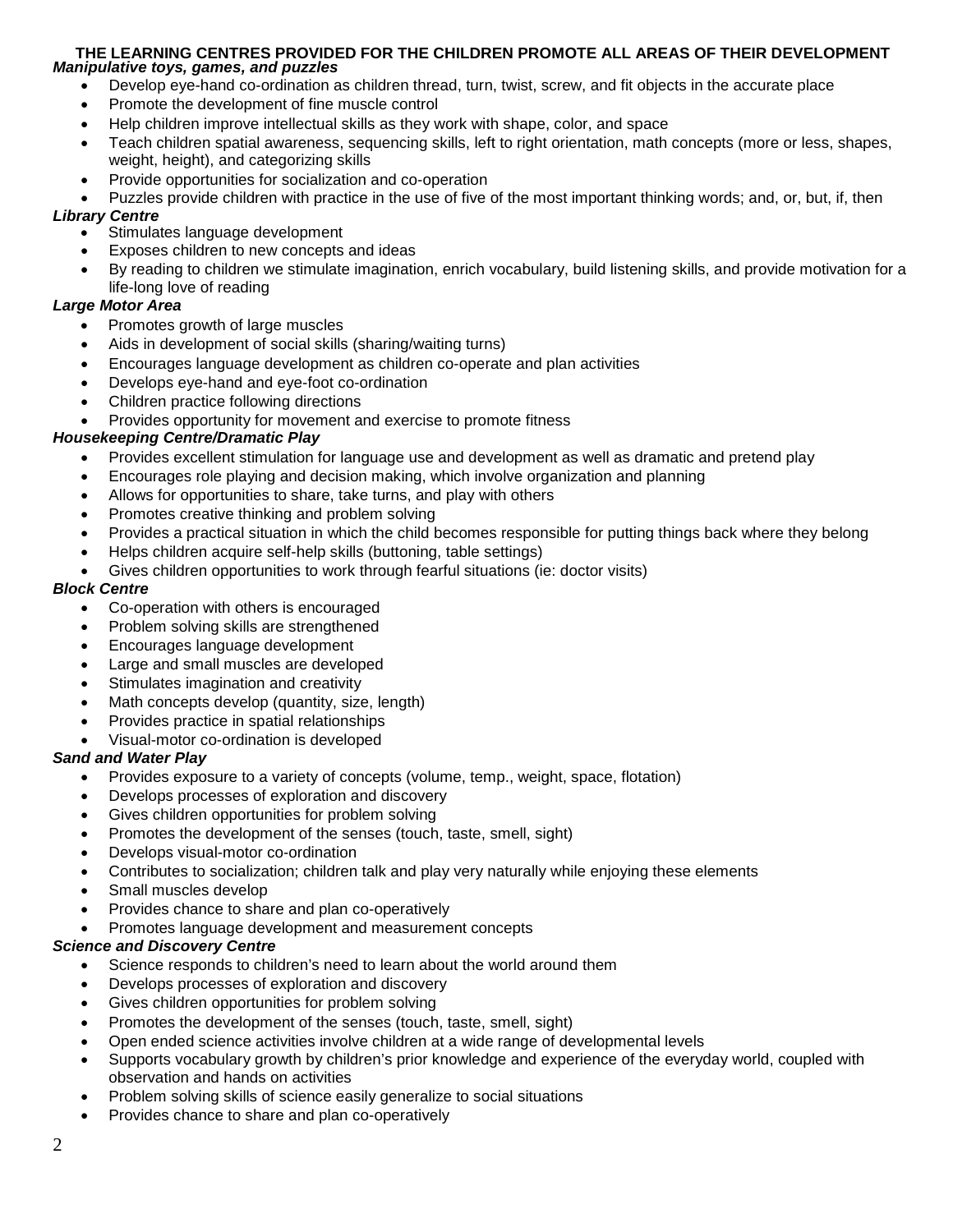#### **THE LEARNING CENTRES PROVIDED FOR THE CHILDREN PROMOTE ALL AREAS OF THEIR DEVELOPMENT** *Manipulative toys, games, and puzzles*

- Develop eye-hand co-ordination as children thread, turn, twist, screw, and fit objects in the accurate place
- Promote the development of fine muscle control
- Help children improve intellectual skills as they work with shape, color, and space
- Teach children spatial awareness, sequencing skills, left to right orientation, math concepts (more or less, shapes, weight, height), and categorizing skills
- Provide opportunities for socialization and co-operation
- Puzzles provide children with practice in the use of five of the most important thinking words; and, or, but, if, then

### *Library Centre*

- Stimulates language development
- Exposes children to new concepts and ideas
- By reading to children we stimulate imagination, enrich vocabulary, build listening skills, and provide motivation for a life-long love of reading

## *Large Motor Area*

- Promotes growth of large muscles
- Aids in development of social skills (sharing/waiting turns)
- Encourages language development as children co-operate and plan activities
- Develops eye-hand and eye-foot co-ordination
- Children practice following directions
- Provides opportunity for movement and exercise to promote fitness

### *Housekeeping Centre/Dramatic Play*

- Provides excellent stimulation for language use and development as well as dramatic and pretend play
- Encourages role playing and decision making, which involve organization and planning
- Allows for opportunities to share, take turns, and play with others
- Promotes creative thinking and problem solving
- Provides a practical situation in which the child becomes responsible for putting things back where they belong
- Helps children acquire self-help skills (buttoning, table settings)
- Gives children opportunities to work through fearful situations (ie: doctor visits)

### *Block Centre*

- Co-operation with others is encouraged
- Problem solving skills are strengthened
- Encourages language development
- Large and small muscles are developed
- Stimulates imagination and creativity
- Math concepts develop (quantity, size, length)
- Provides practice in spatial relationships
- Visual-motor co-ordination is developed

#### *Sand and Water Play*

- Provides exposure to a variety of concepts (volume, temp., weight, space, flotation)
- Develops processes of exploration and discovery
- Gives children opportunities for problem solving
- Promotes the development of the senses (touch, taste, smell, sight)
- Develops visual-motor co-ordination
- Contributes to socialization; children talk and play very naturally while enjoying these elements
- Small muscles develop
- Provides chance to share and plan co-operatively
- Promotes language development and measurement concepts

#### *Science and Discovery Centre*

- Science responds to children's need to learn about the world around them
- Develops processes of exploration and discovery
- Gives children opportunities for problem solving
- Promotes the development of the senses (touch, taste, smell, sight)
- Open ended science activities involve children at a wide range of developmental levels
- Supports vocabulary growth by children's prior knowledge and experience of the everyday world, coupled with observation and hands on activities
- Problem solving skills of science easily generalize to social situations
- Provides chance to share and plan co-operatively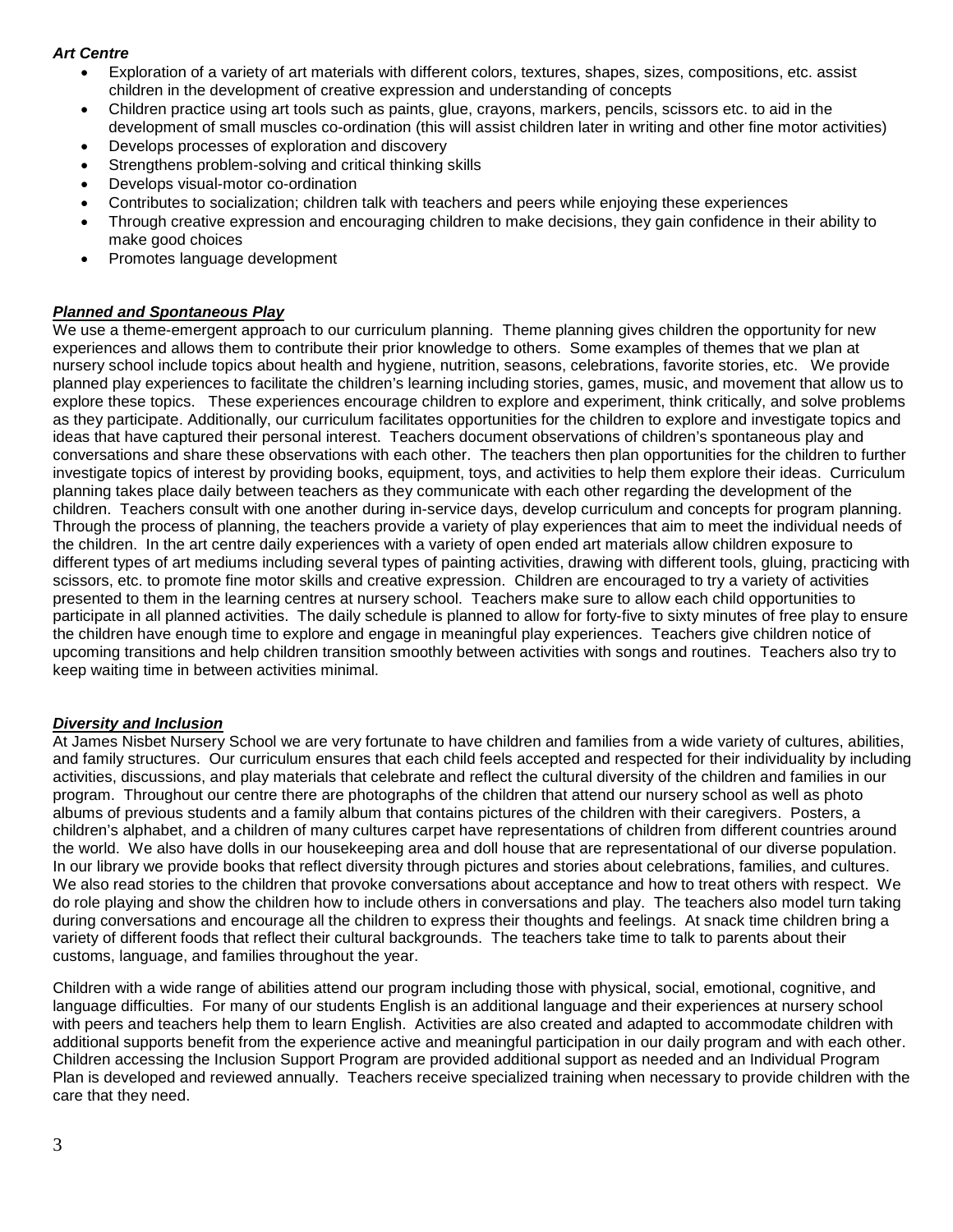### *Art Centre*

- Exploration of a variety of art materials with different colors, textures, shapes, sizes, compositions, etc. assist children in the development of creative expression and understanding of concepts
- Children practice using art tools such as paints, glue, crayons, markers, pencils, scissors etc. to aid in the development of small muscles co-ordination (this will assist children later in writing and other fine motor activities)
- Develops processes of exploration and discovery
- Strengthens problem-solving and critical thinking skills
- Develops visual-motor co-ordination
- Contributes to socialization; children talk with teachers and peers while enjoying these experiences
- Through creative expression and encouraging children to make decisions, they gain confidence in their ability to make good choices
- Promotes language development

### *Planned and Spontaneous Play*

We use a theme-emergent approach to our curriculum planning. Theme planning gives children the opportunity for new experiences and allows them to contribute their prior knowledge to others. Some examples of themes that we plan at nursery school include topics about health and hygiene, nutrition, seasons, celebrations, favorite stories, etc. We provide planned play experiences to facilitate the children's learning including stories, games, music, and movement that allow us to explore these topics. These experiences encourage children to explore and experiment, think critically, and solve problems as they participate. Additionally, our curriculum facilitates opportunities for the children to explore and investigate topics and ideas that have captured their personal interest. Teachers document observations of children's spontaneous play and conversations and share these observations with each other. The teachers then plan opportunities for the children to further investigate topics of interest by providing books, equipment, toys, and activities to help them explore their ideas. Curriculum planning takes place daily between teachers as they communicate with each other regarding the development of the children. Teachers consult with one another during in-service days, develop curriculum and concepts for program planning. Through the process of planning, the teachers provide a variety of play experiences that aim to meet the individual needs of the children. In the art centre daily experiences with a variety of open ended art materials allow children exposure to different types of art mediums including several types of painting activities, drawing with different tools, gluing, practicing with scissors, etc. to promote fine motor skills and creative expression. Children are encouraged to try a variety of activities presented to them in the learning centres at nursery school. Teachers make sure to allow each child opportunities to participate in all planned activities. The daily schedule is planned to allow for forty-five to sixty minutes of free play to ensure the children have enough time to explore and engage in meaningful play experiences. Teachers give children notice of upcoming transitions and help children transition smoothly between activities with songs and routines. Teachers also try to keep waiting time in between activities minimal.

#### *Diversity and Inclusion*

At James Nisbet Nursery School we are very fortunate to have children and families from a wide variety of cultures, abilities, and family structures. Our curriculum ensures that each child feels accepted and respected for their individuality by including activities, discussions, and play materials that celebrate and reflect the cultural diversity of the children and families in our program. Throughout our centre there are photographs of the children that attend our nursery school as well as photo albums of previous students and a family album that contains pictures of the children with their caregivers. Posters, a children's alphabet, and a children of many cultures carpet have representations of children from different countries around the world. We also have dolls in our housekeeping area and doll house that are representational of our diverse population. In our library we provide books that reflect diversity through pictures and stories about celebrations, families, and cultures. We also read stories to the children that provoke conversations about acceptance and how to treat others with respect. We do role playing and show the children how to include others in conversations and play. The teachers also model turn taking during conversations and encourage all the children to express their thoughts and feelings. At snack time children bring a variety of different foods that reflect their cultural backgrounds. The teachers take time to talk to parents about their customs, language, and families throughout the year.

Children with a wide range of abilities attend our program including those with physical, social, emotional, cognitive, and language difficulties. For many of our students English is an additional language and their experiences at nursery school with peers and teachers help them to learn English. Activities are also created and adapted to accommodate children with additional supports benefit from the experience active and meaningful participation in our daily program and with each other. Children accessing the Inclusion Support Program are provided additional support as needed and an Individual Program Plan is developed and reviewed annually. Teachers receive specialized training when necessary to provide children with the care that they need.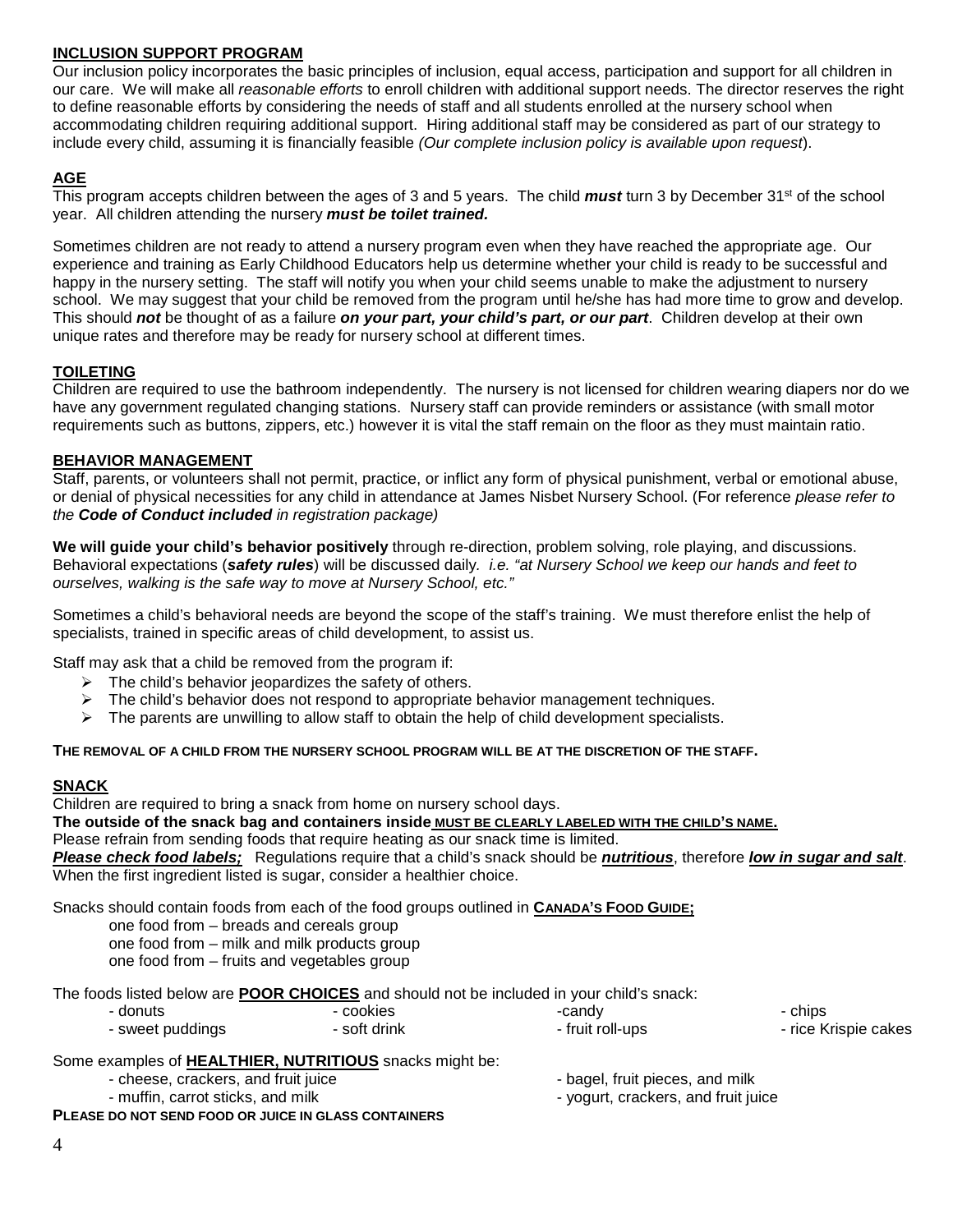## **INCLUSION SUPPORT PROGRAM**

Our inclusion policy incorporates the basic principles of inclusion, equal access, participation and support for all children in our care. We will make all *reasonable efforts* to enroll children with additional support needs. The director reserves the right to define reasonable efforts by considering the needs of staff and all students enrolled at the nursery school when accommodating children requiring additional support. Hiring additional staff may be considered as part of our strategy to include every child, assuming it is financially feasible *(Our complete inclusion policy is available upon request*).

## **AGE**

This program accepts children between the ages of 3 and 5 years. The child *must* turn 3 by December 31st of the school year. All children attending the nursery *must be toilet trained.*

Sometimes children are not ready to attend a nursery program even when they have reached the appropriate age. Our experience and training as Early Childhood Educators help us determine whether your child is ready to be successful and happy in the nursery setting. The staff will notify you when your child seems unable to make the adjustment to nursery school. We may suggest that your child be removed from the program until he/she has had more time to grow and develop. This should *not* be thought of as a failure *on your part, your child's part, or our part*. Children develop at their own unique rates and therefore may be ready for nursery school at different times.

## **TOILETING**

Children are required to use the bathroom independently. The nursery is not licensed for children wearing diapers nor do we have any government regulated changing stations. Nursery staff can provide reminders or assistance (with small motor requirements such as buttons, zippers, etc.) however it is vital the staff remain on the floor as they must maintain ratio.

## **BEHAVIOR MANAGEMENT**

Staff, parents, or volunteers shall not permit, practice, or inflict any form of physical punishment, verbal or emotional abuse, or denial of physical necessities for any child in attendance at James Nisbet Nursery School. (For reference *please refer to the Code of Conduct included in registration package)*

**We will guide your child's behavior positively** through re-direction, problem solving, role playing, and discussions. Behavioral expectations (*safety rules*) will be discussed daily*. i.e. "at Nursery School we keep our hands and feet to ourselves, walking is the safe way to move at Nursery School, etc."*

Sometimes a child's behavioral needs are beyond the scope of the staff's training. We must therefore enlist the help of specialists, trained in specific areas of child development, to assist us.

Staff may ask that a child be removed from the program if:

- $\triangleright$  The child's behavior jeopardizes the safety of others.
- $\triangleright$  The child's behavior does not respond to appropriate behavior management techniques.
- $\triangleright$  The parents are unwilling to allow staff to obtain the help of child development specialists.

**THE REMOVAL OF A CHILD FROM THE NURSERY SCHOOL PROGRAM WILL BE AT THE DISCRETION OF THE STAFF.**

## **SNACK**

Children are required to bring a snack from home on nursery school days.

**The outside of the snack bag and containers inside MUST BE CLEARLY LABELED WITH THE CHILD'S NAME.**  Please refrain from sending foods that require heating as our snack time is limited.

*Please check food labels;* Regulations require that a child's snack should be *nutritious*, therefore *low in sugar and salt*.

When the first ingredient listed is sugar, consider a healthier choice.

Snacks should contain foods from each of the food groups outlined in **CANADA'S FOOD GUIDE;** 

one food from – breads and cereals group

one food from – milk and milk products group

one food from – fruits and vegetables group

The foods listed below are **POOR CHOICES** and should not be included in your child's snack:

| ∍donuts        | - cookies    | -candv         | - chips              |
|----------------|--------------|----------------|----------------------|
| sweet puddings | - soft drink | fruit roll-ups | - rice Krispie cakes |

Some examples of **HEALTHIER, NUTRITIOUS** snacks might be:

- cheese, crackers, and fruit juice  $\qquad \qquad -$  bagel, fruit pieces, and milk

- muffin, carrot sticks, and milk  $\overline{\phantom{a}}$  - yogurt, crackers, and fruit juice

**PLEASE DO NOT SEND FOOD OR JUICE IN GLASS CONTAINERS**

4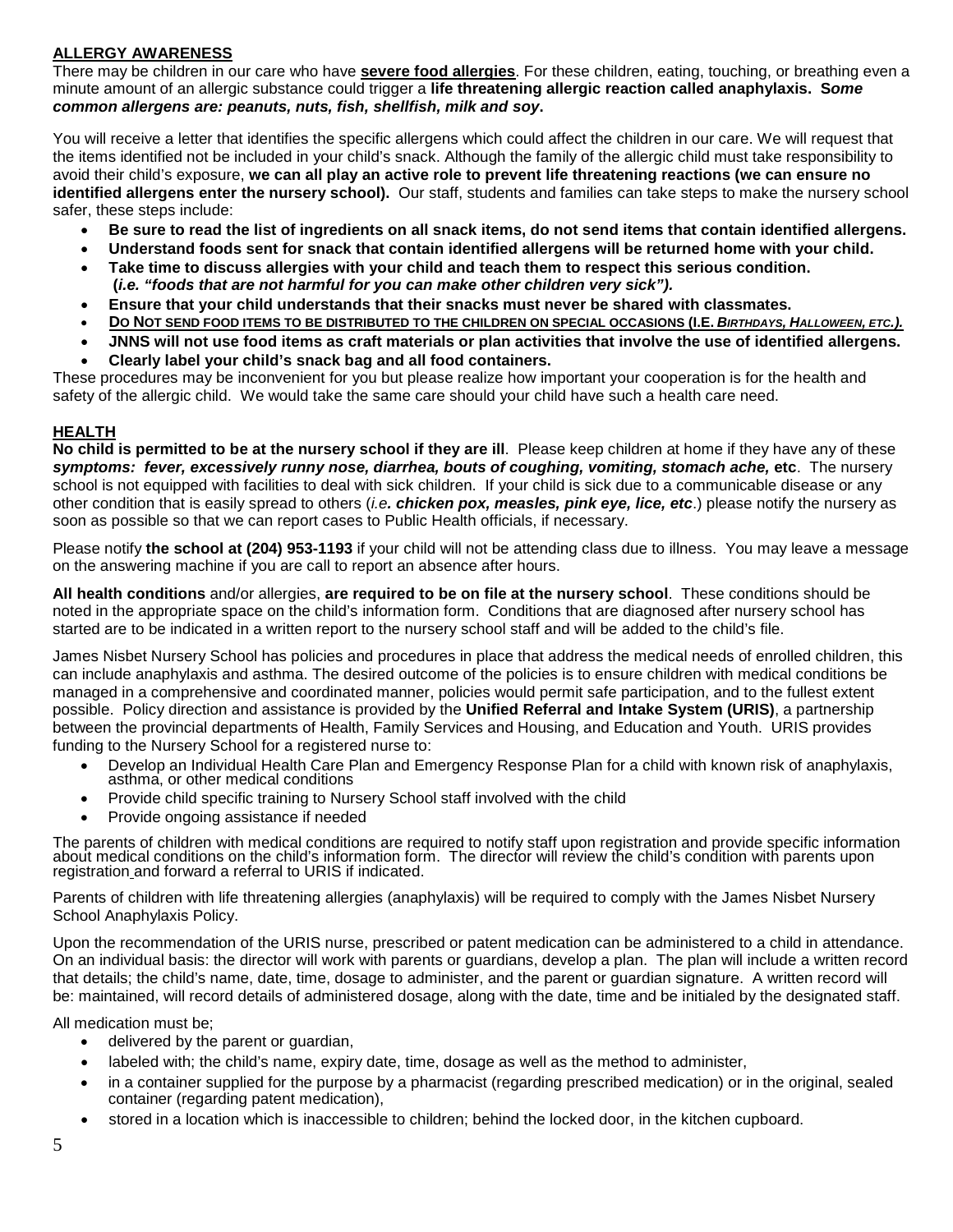## **ALLERGY AWARENESS**

There may be children in our care who have **severe food allergies**. For these children, eating, touching, or breathing even a minute amount of an allergic substance could trigger a **life threatening allergic reaction called anaphylaxis. S***ome common allergens are: peanuts, nuts, fish, shellfish, milk and soy***.** 

You will receive a letter that identifies the specific allergens which could affect the children in our care. We will request that the items identified not be included in your child's snack. Although the family of the allergic child must take responsibility to avoid their child's exposure, **we can all play an active role to prevent life threatening reactions (we can ensure no identified allergens enter the nursery school).** Our staff, students and families can take steps to make the nursery school safer, these steps include:

- **Be sure to read the list of ingredients on all snack items, do not send items that contain identified allergens.**
- **Understand foods sent for snack that contain identified allergens will be returned home with your child.**
- **Take time to discuss allergies with your child and teach them to respect this serious condition. (***i.e. "foods that are not harmful for you can make other children very sick").*
- **Ensure that your child understands that their snacks must never be shared with classmates.**
- **DO NOT SEND FOOD ITEMS TO BE DISTRIBUTED TO THE CHILDREN ON SPECIAL OCCASIONS (I.E.** *BIRTHDAYS, HALLOWEEN, ETC.).*
- **JNNS will not use food items as craft materials or plan activities that involve the use of identified allergens.**
- **Clearly label your child's snack bag and all food containers.**

These procedures may be inconvenient for you but please realize how important your cooperation is for the health and safety of the allergic child. We would take the same care should your child have such a health care need.

### **HEALTH**

**No child is permitted to be at the nursery school if they are ill**. Please keep children at home if they have any of these *symptoms: fever, excessively runny nose, diarrhea, bouts of coughing, vomiting, stomach ache,* **etc**. The nursery school is not equipped with facilities to deal with sick children. If your child is sick due to a communicable disease or any other condition that is easily spread to others (*i.e. chicken pox, measles, pink eye, lice, etc*.) please notify the nursery as soon as possible so that we can report cases to Public Health officials, if necessary.

Please notify **the school at (204) 953-1193** if your child will not be attending class due to illness. You may leave a message on the answering machine if you are call to report an absence after hours.

**All health conditions** and/or allergies, **are required to be on file at the nursery school**. These conditions should be noted in the appropriate space on the child's information form. Conditions that are diagnosed after nursery school has started are to be indicated in a written report to the nursery school staff and will be added to the child's file.

James Nisbet Nursery School has policies and procedures in place that address the medical needs of enrolled children, this can include anaphylaxis and asthma. The desired outcome of the policies is to ensure children with medical conditions be managed in a comprehensive and coordinated manner, policies would permit safe participation, and to the fullest extent possible. Policy direction and assistance is provided by the **Unified Referral and Intake System (URIS)**, a partnership between the provincial departments of Health, Family Services and Housing, and Education and Youth. URIS provides funding to the Nursery School for a registered nurse to:

- Develop an Individual Health Care Plan and Emergency Response Plan for a child with known risk of anaphylaxis, asthma, or other medical conditions
- Provide child specific training to Nursery School staff involved with the child
- Provide ongoing assistance if needed

The parents of children with medical conditions are required to notify staff upon registration and provide specific information<br>about medical conditions on the child's information form. The director will review the child's registration and forward a referral to URIS if indicated.

Parents of children with life threatening allergies (anaphylaxis) will be required to comply with the James Nisbet Nursery School Anaphylaxis Policy.

Upon the recommendation of the URIS nurse, prescribed or patent medication can be administered to a child in attendance. On an individual basis: the director will work with parents or guardians, develop a plan. The plan will include a written record that details; the child's name, date, time, dosage to administer, and the parent or guardian signature. A written record will be: maintained, will record details of administered dosage, along with the date, time and be initialed by the designated staff.

All medication must be;

- delivered by the parent or guardian,
- labeled with; the child's name, expiry date, time, dosage as well as the method to administer,
- in a container supplied for the purpose by a pharmacist (regarding prescribed medication) or in the original, sealed container (regarding patent medication),
- stored in a location which is inaccessible to children; behind the locked door, in the kitchen cupboard.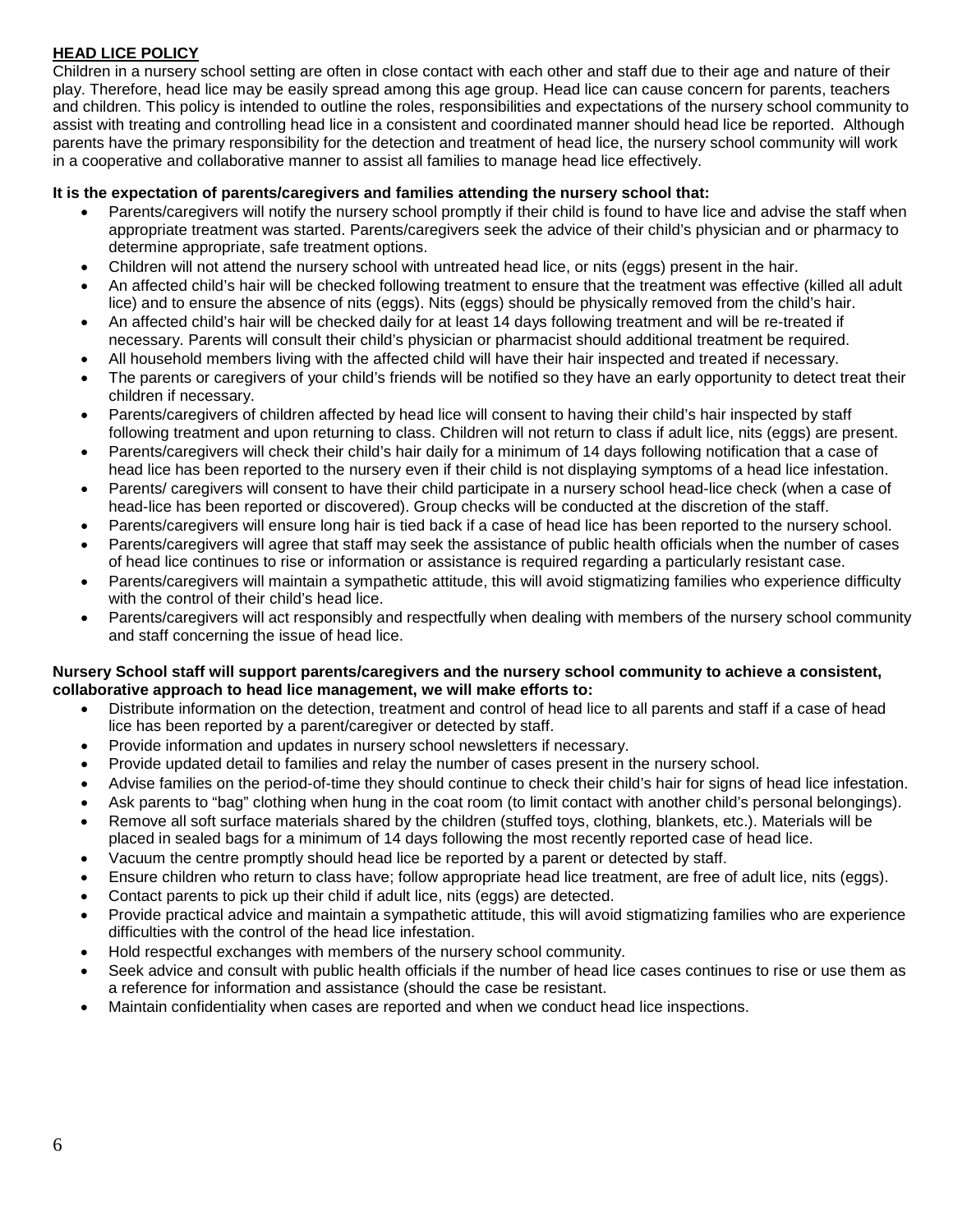## **HEAD LICE POLICY**

Children in a nursery school setting are often in close contact with each other and staff due to their age and nature of their play. Therefore, head lice may be easily spread among this age group. Head lice can cause concern for parents, teachers and children. This policy is intended to outline the roles, responsibilities and expectations of the nursery school community to assist with treating and controlling head lice in a consistent and coordinated manner should head lice be reported. Although parents have the primary responsibility for the detection and treatment of head lice, the nursery school community will work in a cooperative and collaborative manner to assist all families to manage head lice effectively.

## **It is the expectation of parents/caregivers and families attending the nursery school that:**

- Parents/caregivers will notify the nursery school promptly if their child is found to have lice and advise the staff when appropriate treatment was started. Parents/caregivers seek the advice of their child's physician and or pharmacy to determine appropriate, safe treatment options.
- Children will not attend the nursery school with untreated head lice, or nits (eggs) present in the hair.
- An affected child's hair will be checked following treatment to ensure that the treatment was effective (killed all adult lice) and to ensure the absence of nits (eggs). Nits (eggs) should be physically removed from the child's hair.
- An affected child's hair will be checked daily for at least 14 days following treatment and will be re-treated if necessary. Parents will consult their child's physician or pharmacist should additional treatment be required.
- All household members living with the affected child will have their hair inspected and treated if necessary.
- The parents or caregivers of your child's friends will be notified so they have an early opportunity to detect treat their children if necessary.
- Parents/caregivers of children affected by head lice will consent to having their child's hair inspected by staff following treatment and upon returning to class. Children will not return to class if adult lice, nits (eggs) are present.
- Parents/caregivers will check their child's hair daily for a minimum of 14 days following notification that a case of head lice has been reported to the nursery even if their child is not displaying symptoms of a head lice infestation.
- Parents/ caregivers will consent to have their child participate in a nursery school head-lice check (when a case of head-lice has been reported or discovered). Group checks will be conducted at the discretion of the staff.
- Parents/caregivers will ensure long hair is tied back if a case of head lice has been reported to the nursery school.
- Parents/caregivers will agree that staff may seek the assistance of public health officials when the number of cases of head lice continues to rise or information or assistance is required regarding a particularly resistant case.
- Parents/caregivers will maintain a sympathetic attitude, this will avoid stigmatizing families who experience difficulty with the control of their child's head lice.
- Parents/caregivers will act responsibly and respectfully when dealing with members of the nursery school community and staff concerning the issue of head lice.

#### **Nursery School staff will support parents/caregivers and the nursery school community to achieve a consistent, collaborative approach to head lice management, we will make efforts to:**

- Distribute information on the detection, treatment and control of head lice to all parents and staff if a case of head lice has been reported by a parent/caregiver or detected by staff.
- Provide information and updates in nursery school newsletters if necessary.
- Provide updated detail to families and relay the number of cases present in the nursery school.
- Advise families on the period-of-time they should continue to check their child's hair for signs of head lice infestation.
- Ask parents to "bag" clothing when hung in the coat room (to limit contact with another child's personal belongings).
- Remove all soft surface materials shared by the children (stuffed toys, clothing, blankets, etc.). Materials will be placed in sealed bags for a minimum of 14 days following the most recently reported case of head lice.
- Vacuum the centre promptly should head lice be reported by a parent or detected by staff.
- Ensure children who return to class have; follow appropriate head lice treatment, are free of adult lice, nits (eggs).
- Contact parents to pick up their child if adult lice, nits (eggs) are detected.
- Provide practical advice and maintain a sympathetic attitude, this will avoid stigmatizing families who are experience difficulties with the control of the head lice infestation.
- Hold respectful exchanges with members of the nursery school community.
- Seek advice and consult with public health officials if the number of head lice cases continues to rise or use them as a reference for information and assistance (should the case be resistant.
- Maintain confidentiality when cases are reported and when we conduct head lice inspections.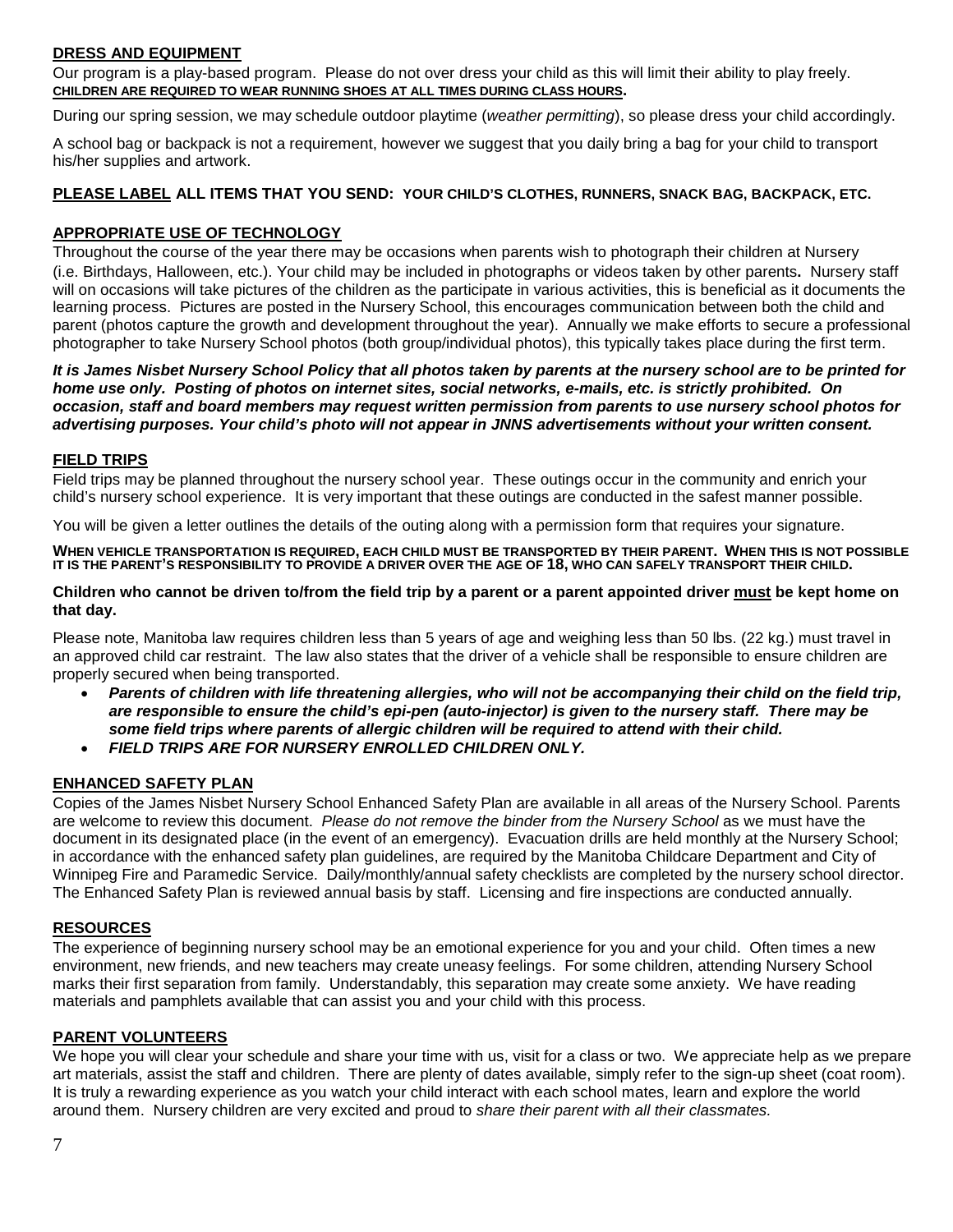## **DRESS AND EQUIPMENT**

Our program is a play-based program. Please do not over dress your child as this will limit their ability to play freely. **CHILDREN ARE REQUIRED TO WEAR RUNNING SHOES AT ALL TIMES DURING CLASS HOURS.** 

During our spring session, we may schedule outdoor playtime (*weather permitting*), so please dress your child accordingly.

A school bag or backpack is not a requirement, however we suggest that you daily bring a bag for your child to transport his/her supplies and artwork.

#### **PLEASE LABEL ALL ITEMS THAT YOU SEND: YOUR CHILD'S CLOTHES, RUNNERS, SNACK BAG, BACKPACK, ETC.**

## **APPROPRIATE USE OF TECHNOLOGY**

Throughout the course of the year there may be occasions when parents wish to photograph their children at Nursery (i.e. Birthdays, Halloween, etc.). Your child may be included in photographs or videos taken by other parents**.** Nursery staff will on occasions will take pictures of the children as the participate in various activities, this is beneficial as it documents the learning process. Pictures are posted in the Nursery School, this encourages communication between both the child and parent (photos capture the growth and development throughout the year). Annually we make efforts to secure a professional photographer to take Nursery School photos (both group/individual photos), this typically takes place during the first term.

*It is James Nisbet Nursery School Policy that all photos taken by parents at the nursery school are to be printed for home use only. Posting of photos on internet sites, social networks, e-mails, etc. is strictly prohibited. On occasion, staff and board members may request written permission from parents to use nursery school photos for advertising purposes. Your child's photo will not appear in JNNS advertisements without your written consent.*

#### **FIELD TRIPS**

Field trips may be planned throughout the nursery school year. These outings occur in the community and enrich your child's nursery school experience. It is very important that these outings are conducted in the safest manner possible.

You will be given a letter outlines the details of the outing along with a permission form that requires your signature.

**WHEN VEHICLE TRANSPORTATION IS REQUIRED, EACH CHILD MUST BE TRANSPORTED BY THEIR PARENT. WHEN THIS IS NOT POSSIBLE IT IS THE PARENT'S RESPONSIBILITY TO PROVIDE A DRIVER OVER THE AGE OF 18, WHO CAN SAFELY TRANSPORT THEIR CHILD.**

#### **Children who cannot be driven to/from the field trip by a parent or a parent appointed driver must be kept home on that day.**

Please note, Manitoba law requires children less than 5 years of age and weighing less than 50 lbs. (22 kg.) must travel in an approved child car restraint. The law also states that the driver of a vehicle shall be responsible to ensure children are properly secured when being transported.

- *Parents of children with life threatening allergies, who will not be accompanying their child on the field trip, are responsible to ensure the child's epi-pen (auto-injector) is given to the nursery staff. There may be some field trips where parents of allergic children will be required to attend with their child.*
- *FIELD TRIPS ARE FOR NURSERY ENROLLED CHILDREN ONLY.*

## **ENHANCED SAFETY PLAN**

Copies of the James Nisbet Nursery School Enhanced Safety Plan are available in all areas of the Nursery School. Parents are welcome to review this document. *Please do not remove the binder from the Nursery School* as we must have the document in its designated place (in the event of an emergency). Evacuation drills are held monthly at the Nursery School; in accordance with the enhanced safety plan guidelines, are required by the Manitoba Childcare Department and City of Winnipeg Fire and Paramedic Service. Daily/monthly/annual safety checklists are completed by the nursery school director. The Enhanced Safety Plan is reviewed annual basis by staff. Licensing and fire inspections are conducted annually.

#### **RESOURCES**

The experience of beginning nursery school may be an emotional experience for you and your child. Often times a new environment, new friends, and new teachers may create uneasy feelings. For some children, attending Nursery School marks their first separation from family. Understandably, this separation may create some anxiety. We have reading materials and pamphlets available that can assist you and your child with this process.

#### **PARENT VOLUNTEERS**

We hope you will clear your schedule and share your time with us, visit for a class or two. We appreciate help as we prepare art materials, assist the staff and children. There are plenty of dates available, simply refer to the sign-up sheet (coat room). It is truly a rewarding experience as you watch your child interact with each school mates, learn and explore the world around them. Nursery children are very excited and proud to *share their parent with all their classmates.*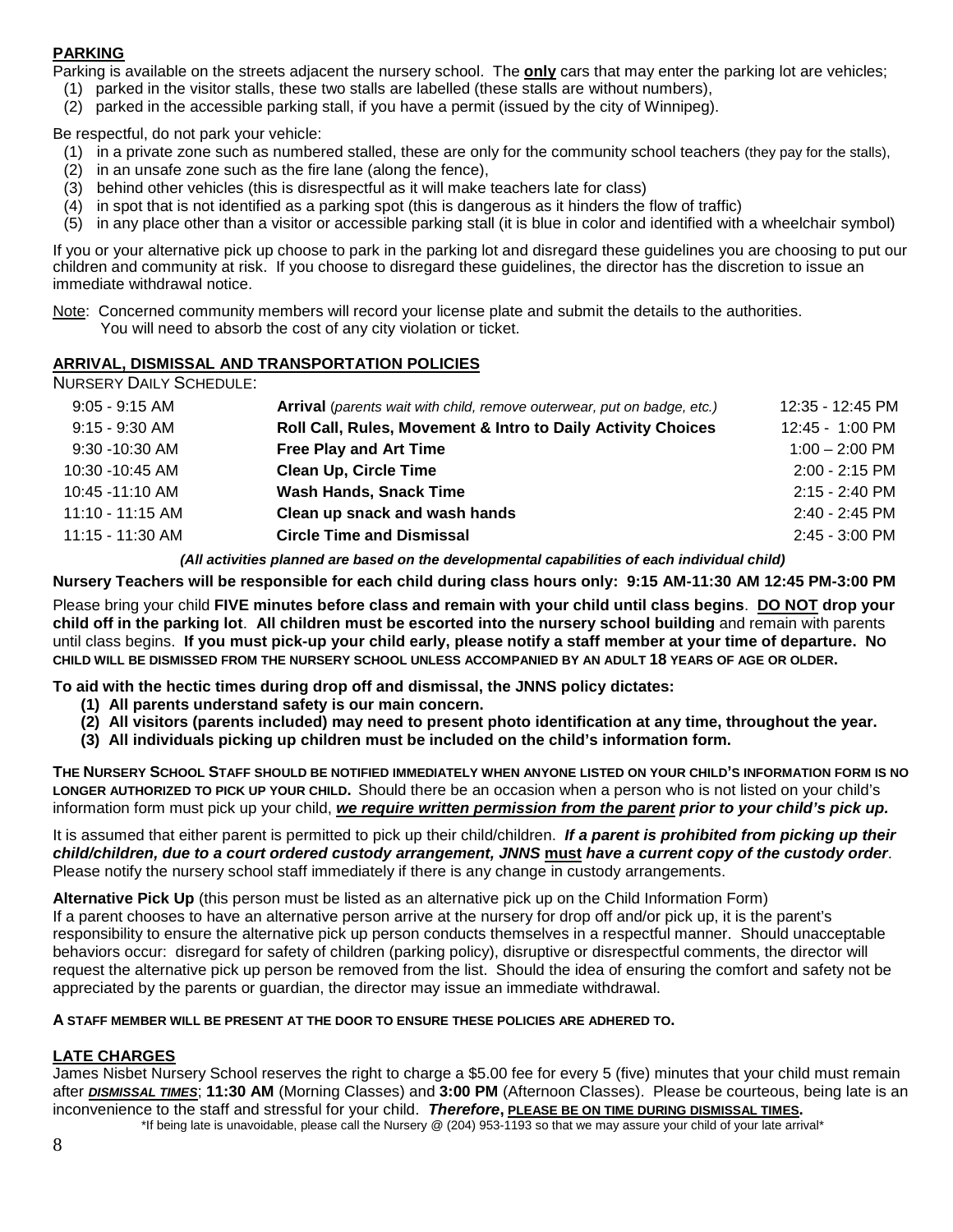## **PARKING**

Parking is available on the streets adjacent the nursery school. The **only** cars that may enter the parking lot are vehicles;

- (1) parked in the visitor stalls, these two stalls are labelled (these stalls are without numbers),
- (2) parked in the accessible parking stall, if you have a permit (issued by the city of Winnipeg).

Be respectful, do not park your vehicle:

- (1) in a private zone such as numbered stalled, these are only for the community school teachers (they pay for the stalls),
- (2) in an unsafe zone such as the fire lane (along the fence),
- (3) behind other vehicles (this is disrespectful as it will make teachers late for class)
- (4) in spot that is not identified as a parking spot (this is dangerous as it hinders the flow of traffic)
- (5) in any place other than a visitor or accessible parking stall (it is blue in color and identified with a wheelchair symbol)

If you or your alternative pick up choose to park in the parking lot and disregard these guidelines you are choosing to put our children and community at risk. If you choose to disregard these guidelines, the director has the discretion to issue an immediate withdrawal notice.

Note: Concerned community members will record your license plate and submit the details to the authorities. You will need to absorb the cost of any city violation or ticket.

### **ARRIVAL, DISMISSAL AND TRANSPORTATION POLICIES**

NURSERY DAILY SCHEDULE:

| $9:05 - 9:15$ AM | <b>Arrival</b> (parents wait with child, remove outerwear, put on badge, etc.) | 12:35 - 12:45 PM |
|------------------|--------------------------------------------------------------------------------|------------------|
| $9:15 - 9:30$ AM | Roll Call, Rules, Movement & Intro to Daily Activity Choices                   | 12:45 - 1:00 PM  |
| 9:30 -10:30 AM   | <b>Free Play and Art Time</b>                                                  | $1:00 - 2:00$ PM |
| 10:30 -10:45 AM  | <b>Clean Up, Circle Time</b>                                                   | $2:00 - 2:15$ PM |
| 10:45 -11:10 AM  | <b>Wash Hands, Snack Time</b>                                                  | $2:15 - 2:40$ PM |
| 11:10 - 11:15 AM | Clean up snack and wash hands                                                  | $2:40 - 2:45$ PM |
| 11:15 - 11:30 AM | <b>Circle Time and Dismissal</b>                                               | 2:45 - 3:00 PM   |
|                  |                                                                                |                  |

*(All activities planned are based on the developmental capabilities of each individual child)*

**Nursery Teachers will be responsible for each child during class hours only: 9:15 AM-11:30 AM 12:45 PM-3:00 PM**

Please bring your child **FIVE minutes before class and remain with your child until class begins**. **DO NOT drop your child off in the parking lot**. **All children must be escorted into the nursery school building** and remain with parents until class begins. **If you must pick-up your child early, please notify a staff member at your time of departure. NO CHILD WILL BE DISMISSED FROM THE NURSERY SCHOOL UNLESS ACCOMPANIED BY AN ADULT 18 YEARS OF AGE OR OLDER.**

**To aid with the hectic times during drop off and dismissal, the JNNS policy dictates:**

- **(1) All parents understand safety is our main concern.**
- **(2) All visitors (parents included) may need to present photo identification at any time, throughout the year.**
- **(3) All individuals picking up children must be included on the child's information form.**

**THE NURSERY SCHOOL STAFF SHOULD BE NOTIFIED IMMEDIATELY WHEN ANYONE LISTED ON YOUR CHILD'S INFORMATION FORM IS NO LONGER AUTHORIZED TO PICK UP YOUR CHILD.** Should there be an occasion when a person who is not listed on your child's information form must pick up your child, *we require written permission from the parent prior to your child's pick up.*

It is assumed that either parent is permitted to pick up their child/children. *If a parent is prohibited from picking up their child/children, due to a court ordered custody arrangement, JNNS* **must** *have a current copy of the custody order*. Please notify the nursery school staff immediately if there is any change in custody arrangements.

**Alternative Pick Up** (this person must be listed as an alternative pick up on the Child Information Form) If a parent chooses to have an alternative person arrive at the nursery for drop off and/or pick up, it is the parent's responsibility to ensure the alternative pick up person conducts themselves in a respectful manner. Should unacceptable behaviors occur: disregard for safety of children (parking policy), disruptive or disrespectful comments, the director will request the alternative pick up person be removed from the list. Should the idea of ensuring the comfort and safety not be appreciated by the parents or guardian, the director may issue an immediate withdrawal.

#### **A STAFF MEMBER WILL BE PRESENT AT THE DOOR TO ENSURE THESE POLICIES ARE ADHERED TO.**

## **LATE CHARGES**

James Nisbet Nursery School reserves the right to charge a \$5.00 fee for every 5 (five) minutes that your child must remain after *DISMISSAL TIMES*; **11:30 AM** (Morning Classes) and **3:00 PM** (Afternoon Classes). Please be courteous, being late is an inconvenience to the staff and stressful for your child. *Therefore***, PLEASE BE ON TIME DURING DISMISSAL TIMES.**